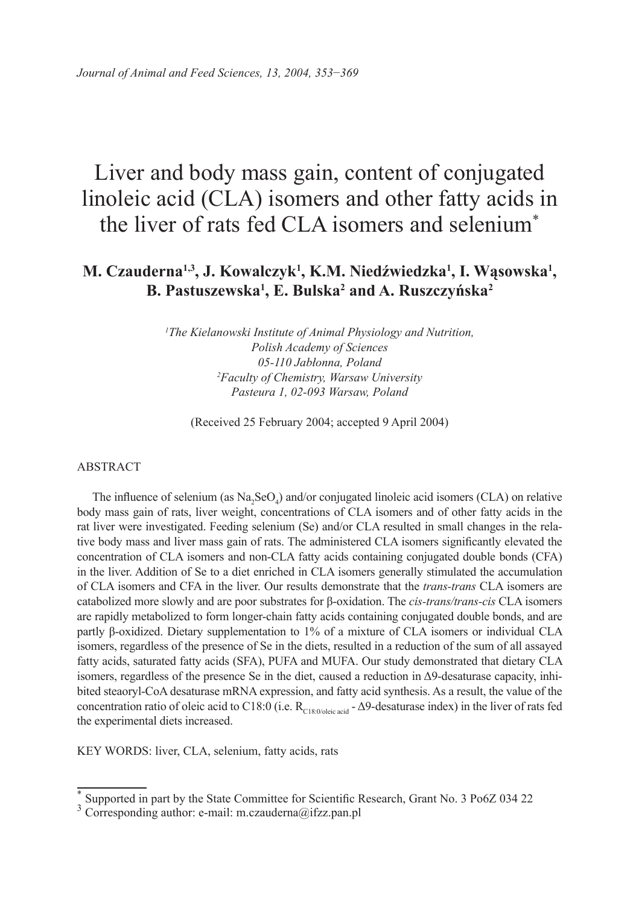# Liver and body mass gain, content of conjugated linoleic acid (CLA) isomers and other fatty acids in the liver of rats fed CLA isomers and selenium\*

# **M. Czauderna1,3, J. Kowalczyk1 , K.M. Niedźwiedzka1 , I. Wąsowska1 , B. Pastuszewska1 , E. Bulska2 and A. Ruszczyńska2**

*1 The Kielanowski Institute of Animal Physiology and Nutrition, Polish Academy of Sciences 05-110 Jabłonna, Poland 2 Faculty of Chemistry, Warsaw University Pasteura 1, 02-093 Warsaw, Poland*

(Received 25 February 2004; accepted 9 April 2004)

#### ABSTRACT

The influence of selenium (as  $\text{Na}_2\text{SeO}_4$ ) and/or conjugated linoleic acid isomers (CLA) on relative body mass gain of rats, liver weight, concentrations of CLA isomers and of other fatty acids in the rat liver were investigated. Feeding selenium (Se) and/or CLA resulted in small changes in the relative body mass and liver mass gain of rats. The administered CLA isomers significantly elevated the concentration of CLA isomers and non-CLA fatty acids containing conjugated double bonds (CFA) in the liver. Addition of Se to a diet enriched in CLA isomers generally stimulated the accumulation of CLA isomers and CFA in the liver. Our results demonstrate that the *trans-trans* CLA isomers are catabolized more slowly and are poor substrates for β-oxidation. The *cis-trans/trans-cis* CLA isomers are rapidly metabolized to form longer-chain fatty acids containing conjugated double bonds, and are partly β-oxidized. Dietary supplementation to 1% of a mixture of CLA isomers or individual CLA isomers, regardless of the presence of Se in the diets, resulted in a reduction of the sum of all assayed fatty acids, saturated fatty acids (SFA), PUFA and MUFA. Our study demonstrated that dietary CLA isomers, regardless of the presence Se in the diet, caused a reduction in  $\Delta$ 9-desaturase capacity, inhibited steaoryl-CoA desaturase mRNA expression, and fatty acid synthesis. As a result, the value of the concentration ratio of oleic acid to C18:0 (i.e.  $R_{C18:0/oleic acid}$  -  $\Delta$ 9-desaturase index) in the liver of rats fed the experimental diets increased.

KEY WORDS: liver, CLA, selenium, fatty acids, rats

<sup>\*</sup> Supported in part by the State Committee for Scientific Research, Grant No. 3 Po6Z 034 22

 $3$  Corresponding author: e-mail: m.czauderna@ifzz.pan.pl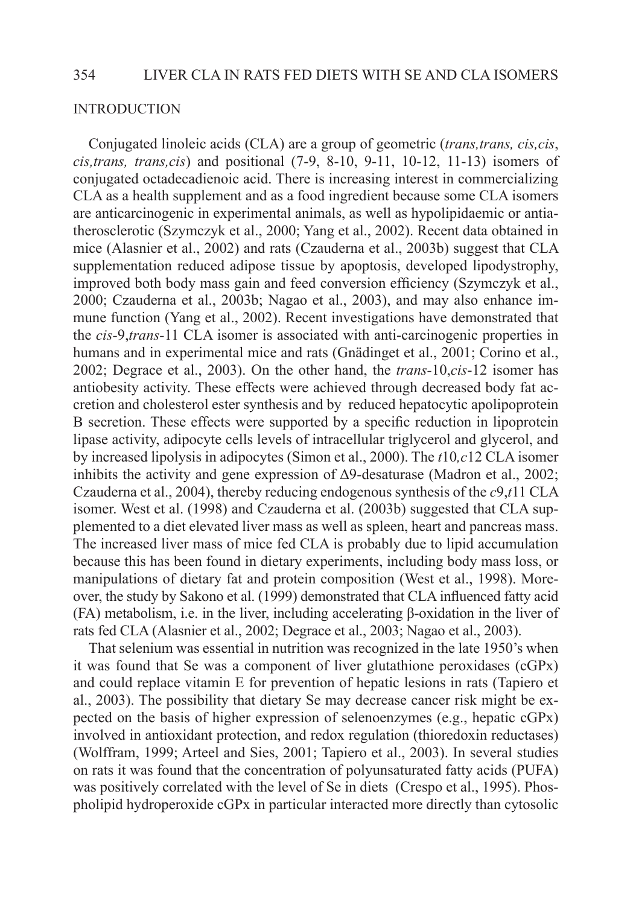#### INTRODUCTION

Conjugated linoleic acids (CLA) are a group of geometric (*trans,trans, cis,cis*, *cis,trans, trans,cis*) and positional (7-9, 8-10, 9-11, 10-12, 11-13) isomers of conjugated octadecadienoic acid. There is increasing interest in commercializing CLA as a health supplement and as a food ingredient because some CLA isomers are anticarcinogenic in experimental animals, as well as hypolipidaemic or antiatherosclerotic (Szymczyk et al., 2000; Yang et al., 2002). Recent data obtained in mice (Alasnier et al., 2002) and rats (Czauderna et al., 2003b) suggest that CLA supplementation reduced adipose tissue by apoptosis, developed lipodystrophy, improved both body mass gain and feed conversion efficiency (Szymczyk et al., 2000; Czauderna et al., 2003b; Nagao et al., 2003), and may also enhance immune function (Yang et al., 2002). Recent investigations have demonstrated that the *cis-*9,*trans-*11 CLA isomer is associated with anti-carcinogenic properties in humans and in experimental mice and rats (Gnädinget et al., 2001; Corino et al., 2002; Degrace et al., 2003). On the other hand, the *trans-*10,*cis*-12 isomer has antiobesity activity. These effects were achieved through decreased body fat accretion and cholesterol ester synthesis and by reduced hepatocytic apolipoprotein B secretion. These effects were supported by a specific reduction in lipoprotein lipase activity, adipocyte cells levels of intracellular triglycerol and glycerol, and by increased lipolysis in adipocytes (Simon et al., 2000). The *t*10*,c*12 CLA isomer inhibits the activity and gene expression of  $\Delta$ 9-desaturase (Madron et al., 2002; Czauderna et al., 2004), thereby reducing endogenous synthesis of the *c*9,*t*11 CLA isomer. West et al. (1998) and Czauderna et al. (2003b) suggested that CLA supplemented to a diet elevated liver mass as well as spleen, heart and pancreas mass. The increased liver mass of mice fed CLA is probably due to lipid accumulation because this has been found in dietary experiments, including body mass loss, or manipulations of dietary fat and protein composition (West et al., 1998). Moreover, the study by Sakono et al. (1999) demonstrated that CLA influenced fatty acid (FA) metabolism, i.e. in the liver, including accelerating β-oxidation in the liver of rats fed CLA (Alasnier et al., 2002; Degrace et al., 2003; Nagao et al., 2003).

That selenium was essential in nutrition was recognized in the late 1950's when it was found that Se was a component of liver glutathione peroxidases (cGPx) and could replace vitamin E for prevention of hepatic lesions in rats (Tapiero et al., 2003). The possibility that dietary Se may decrease cancer risk might be expected on the basis of higher expression of selenoenzymes (e.g., hepatic cGPx) involved in antioxidant protection, and redox regulation (thioredoxin reductases) (Wolffram, 1999; Arteel and Sies, 2001; Tapiero et al., 2003). In several studies on rats it was found that the concentration of polyunsaturated fatty acids (PUFA) was positively correlated with the level of Se in diets (Crespo et al., 1995). Phospholipid hydroperoxide cGPx in particular interacted more directly than cytosolic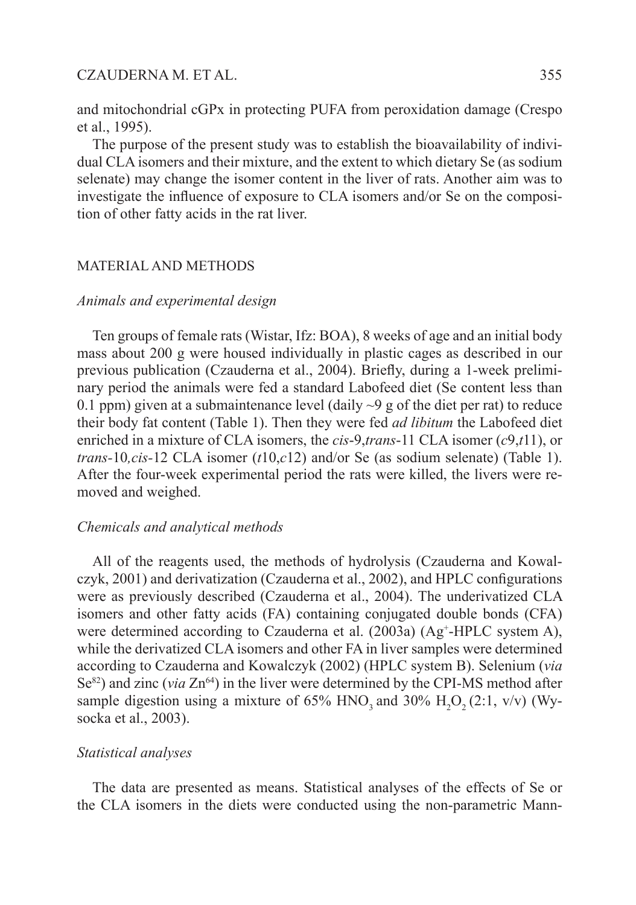and mitochondrial cGPx in protecting PUFA from peroxidation damage (Crespo et al., 1995).

The purpose of the present study was to establish the bioavailability of individual CLA isomers and their mixture, and the extent to which dietary Se (as sodium selenate) may change the isomer content in the liver of rats. Another aim was to investigate the influence of exposure to CLA isomers and/or Se on the composition of other fatty acids in the rat liver.

#### MATERIAL AND METHODS

## *Animals and experimental design*

Ten groups of female rats (Wistar, Ifz: BOA), 8 weeks of age and an initial body mass about 200 g were housed individually in plastic cages as described in our previous publication (Czauderna et al., 2004). Briefly, during a 1-week preliminary period the animals were fed a standard Labofeed diet (Se content less than 0.1 ppm) given at a submaintenance level (daily  $\sim$ 9 g of the diet per rat) to reduce their body fat content (Table 1). Then they were fed *ad libitum* the Labofeed diet enriched in a mixture of CLA isomers, the *cis*-9,*trans*-11 CLA isomer (*c*9,*t*11), or *trans-*10*,cis-*12 CLA isomer (*t*10,*c*12) and/or Se (as sodium selenate) (Table 1). After the four-week experimental period the rats were killed, the livers were removed and weighed.

# *Chemicals and analytical methods*

All of the reagents used, the methods of hydrolysis (Czauderna and Kowalczyk, 2001) and derivatization (Czauderna et al., 2002), and HPLC configurations were as previously described (Czauderna et al., 2004). The underivatized CLA isomers and other fatty acids (FA) containing conjugated double bonds (CFA) were determined according to Czauderna et al. (2003a) (Ag<sup>+</sup>-HPLC system A), while the derivatized CLA isomers and other FA in liver samples were determined according to Czauderna and Kowalczyk (2002) (HPLC system B). Selenium (*via*  Se<sup>82</sup>) and zinc (*via*  $\text{Zn}^{64}$ ) in the liver were determined by the CPI-MS method after sample digestion using a mixture of 65%  $HNO_3$  and 30%  $H_2O_2(2:1, v/v)$  (Wysocka et al., 2003).

#### *Statistical analyses*

The data are presented as means. Statistical analyses of the effects of Se or the CLA isomers in the diets were conducted using the non-parametric Mann-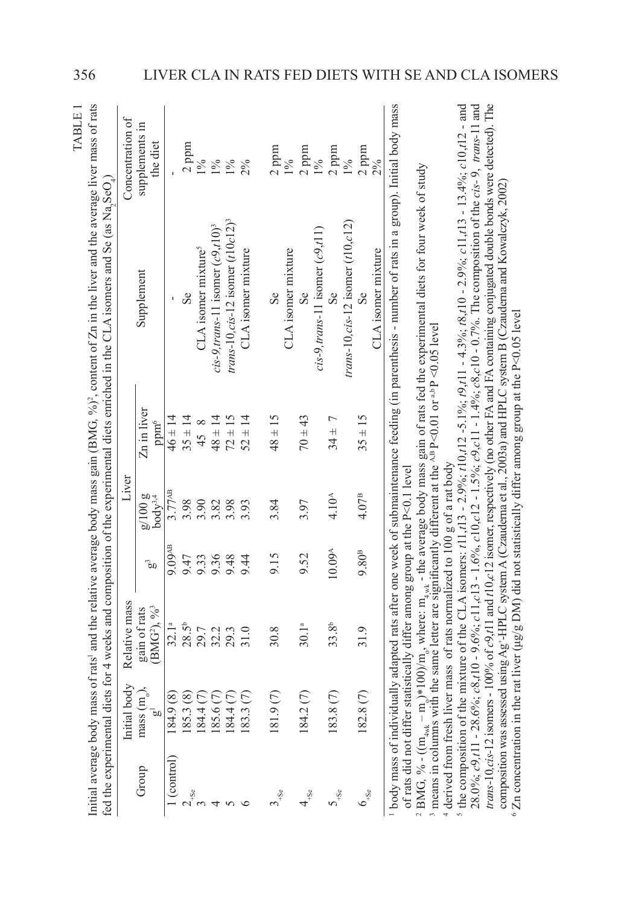|                                                |                                                  |                                                                                                                                            |                    |                                 |                                 | Initial average body mass of rats' and the relative average body mass gain (BMG, %) <sup>2</sup> , content of Zn in the liver and the average liver mass of rats<br>fed the experimental diets for 4 weeks and composition of the experimental diets enriched in the CLA isomers and Se (as Na, SeO,                                   | TABLE 1                    |
|------------------------------------------------|--------------------------------------------------|--------------------------------------------------------------------------------------------------------------------------------------------|--------------------|---------------------------------|---------------------------------|----------------------------------------------------------------------------------------------------------------------------------------------------------------------------------------------------------------------------------------------------------------------------------------------------------------------------------------|----------------------------|
|                                                | body<br>Initial                                  | Relative mass                                                                                                                              |                    | Liver                           |                                 |                                                                                                                                                                                                                                                                                                                                        | Concentration of           |
| Group                                          | $(\overline{\mathbf{n}})$ ,<br>$\bar{a}$<br>mass | (BMG <sup>2</sup> ), 96 <sup>3</sup><br>gain of rats                                                                                       | ೊ                  | $g/100 g$<br>body <sup>34</sup> | Zn in liver<br>ppm <sup>o</sup> | Supplement                                                                                                                                                                                                                                                                                                                             | supplements in<br>the diet |
| (control)                                      | (8)<br>184.9                                     | 32.1 <sup>a</sup>                                                                                                                          | 9.09 <sup>AB</sup> | 3.77AB                          | $46 \pm 14$                     |                                                                                                                                                                                                                                                                                                                                        |                            |
|                                                | $\circledast$<br>185.3                           | $28.5^{b}$                                                                                                                                 | 9.47               | 3.98                            | $35 \pm 14$                     | Se                                                                                                                                                                                                                                                                                                                                     | $2~\mathrm{ppm}$           |
|                                                | $\odot$<br>184.4                                 | 29.7                                                                                                                                       | 9.33               | 3.90                            | $\infty$<br>45                  | CLA isomer mixture <sup>5</sup>                                                                                                                                                                                                                                                                                                        | $1\%$                      |
|                                                | $\odot$<br>185.6                                 | 32.2                                                                                                                                       | 9.36               | 3.82                            | $48 \pm 14$                     | $cis-9, trans-11$ isomer $(c9, t10)^3$                                                                                                                                                                                                                                                                                                 | $1\%$                      |
|                                                | $\odot$<br>184.4                                 | 29.3                                                                                                                                       | 9.48               | 3.98                            | $72 \pm 15$                     | trans-10, cis-12 isomer $(t10c12)^3$                                                                                                                                                                                                                                                                                                   | $1\%$                      |
|                                                | E<br>183.3                                       | 31.0                                                                                                                                       | 9.44               | 3.93                            | $52 \pm 14$                     | CLA isomer mixture                                                                                                                                                                                                                                                                                                                     | 2%                         |
|                                                | $\odot$<br>181.9                                 | 30.8                                                                                                                                       | 9.15               | 3.84                            | $48 \pm 15$                     | $S_{\rm e}$                                                                                                                                                                                                                                                                                                                            | $2$ ppm                    |
|                                                |                                                  |                                                                                                                                            |                    |                                 |                                 | CLA isomer mixture                                                                                                                                                                                                                                                                                                                     | $1\%$                      |
| $4 + 5e$                                       | $\odot$<br>184.2                                 | 30.1 <sup>a</sup>                                                                                                                          | 9.52               | 3.97                            | $70 + 43$                       | Se                                                                                                                                                                                                                                                                                                                                     | $2~\mathrm{ppm}$           |
|                                                |                                                  |                                                                                                                                            |                    |                                 |                                 | $cis-9, trans-11$ isomer $(c9, t11)$                                                                                                                                                                                                                                                                                                   | $1\%$                      |
| $\mathsf{S}_{\scriptscriptstyle +\mathrm{Se}}$ | $\odot$<br>183.8                                 | 33.8 <sup>b</sup>                                                                                                                          | $10.09^{\text{A}}$ | 4.10 <sup>A</sup>               | $34 \pm 7$                      | Se                                                                                                                                                                                                                                                                                                                                     | $2~\mathrm{ppm}$           |
|                                                |                                                  |                                                                                                                                            |                    |                                 |                                 | $trans-10, cis-12$ isomer $(t10, c12)$                                                                                                                                                                                                                                                                                                 | $1\%$                      |
| $6_{\textnormal{-Se}}$                         | $\odot$<br>182.8                                 | 31.9                                                                                                                                       | 9.80 <sup>B</sup>  | 4.07 <sup>B</sup>               | $35 \pm 15$                     | Se                                                                                                                                                                                                                                                                                                                                     | $2$ ppm                    |
|                                                |                                                  |                                                                                                                                            |                    |                                 |                                 | CLA isomer mixture                                                                                                                                                                                                                                                                                                                     | $2\%$                      |
|                                                |                                                  |                                                                                                                                            |                    |                                 |                                 | body mass of individually adapted rats after one week of submaintenance feeding (in parenthesis - number of rats in a group). Initial body mass                                                                                                                                                                                        |                            |
| of rats did not differ                         |                                                  | statistically differ among group at the P<0.1 level                                                                                        |                    |                                 |                                 | <sup>2</sup> BMG, % - (( $m_{\text{wuk}}$ – m <sub>2</sub> )*100)/m <sub>2</sub> , where: m <sub>4wk</sub> - the average body mass gain of rats fed the experimental diets for four week of study                                                                                                                                      |                            |
|                                                |                                                  | <sup>3</sup> means in columns with the same letter are significantly different at the <sup>AB</sup> P<0.01 or <sup>a,b</sup> P <0.05 level |                    |                                 |                                 |                                                                                                                                                                                                                                                                                                                                        |                            |
|                                                |                                                  | <sup>4</sup> derived from fresh liver mass of rats normalized to 100 g of a rat body                                                       |                    |                                 |                                 |                                                                                                                                                                                                                                                                                                                                        |                            |
| <sup>5</sup> the composition of t              |                                                  |                                                                                                                                            |                    |                                 |                                 | be mixture of the CLA isomers: $t11, t13 - 2.9\%$ ; $t10, t12 - 5.1\%$ ; $t9, t11 - 4.3\%$ ; $t8, t10 - 2.9\%$ ; $c11, t13 - 13.4\%$ ; $c10, t12 -$ and                                                                                                                                                                                |                            |
|                                                |                                                  |                                                                                                                                            |                    |                                 |                                 | trans-10,cis-12 isomers - 100% of $c9$ ,t11 and t10,c12 isomer, respectively (no other FA and FA containing conjugated double bonds were detected). The<br>28.0%; $c9, t11 - 28.6$ %; $c8, t10 - 9.6$ %; $c11, c13 - 1.6$ %, $c10, c12 - 1.5$ %; $c9, c11 - 1.4$ %; $c8, c10 - 0.7$ %. The composition of the $cis - 9$ , trans-11 and |                            |

composition was assessed using Ag<sup>+</sup>-HPLC system A (Czauderna et al., 2003a) and HPLC system B (Czauderna and Kowalczyk, 2002)<br><sup>6</sup> Zn concentration in the rat liver (µg/g DM) did not statistically differ among group at the

 $\,^6$  Zn concentration in the rat liver (µg/g DM) did not statistically differ among group at the P<0.05 level

composition was assessed using Ag<sup>+</sup>-HPLC system A (Czauderna et al., 2003a) and HPLC system B (Czauderna and Kowalczyk, 2002)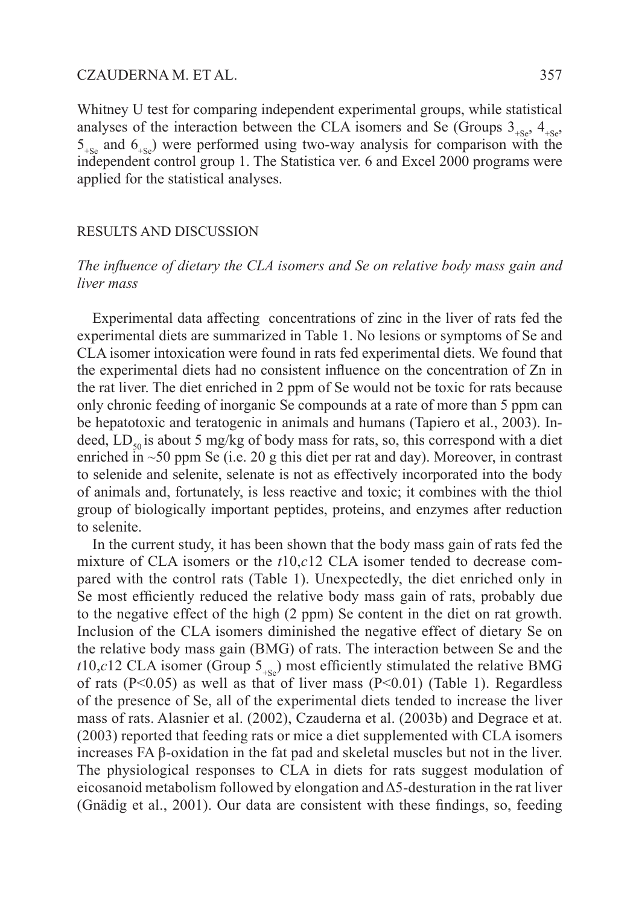Whitney U test for comparing independent experimental groups, while statistical analyses of the interaction between the CLA isomers and Se (Groups  $3_{\text{L}}$ ,  $4_{\text{L}}$ ,  $4_{\text{L}}$ ,  $5_{+S_e}$  and  $6_{+S_e}$ ) were performed using two-way analysis for comparison with the independent control group 1. The Statistica ver. 6 and Excel 2000 programs were applied for the statistical analyses.

#### RESULTS AND DISCUSSION

# *The influence of dietary the CLA isomers and Se on relative body mass gain and liver mass*

Experimental data affecting concentrations of zinc in the liver of rats fed the experimental diets are summarized in Table 1. No lesions or symptoms of Se and CLA isomer intoxication were found in rats fed experimental diets. We found that the experimental diets had no consistent influence on the concentration of Zn in the rat liver. The diet enriched in 2 ppm of Se would not be toxic for rats because only chronic feeding of inorganic Se compounds at a rate of more than 5 ppm can be hepatotoxic and teratogenic in animals and humans (Tapiero et al., 2003). Indeed,  $LD_{50}$  is about 5 mg/kg of body mass for rats, so, this correspond with a diet enriched in  $\sim$ 50 ppm Se (i.e. 20 g this diet per rat and day). Moreover, in contrast to selenide and selenite, selenate is not as effectively incorporated into the body of animals and, fortunately, is less reactive and toxic; it combines with the thiol group of biologically important peptides, proteins, and enzymes after reduction to selenite.

In the current study, it has been shown that the body mass gain of rats fed the mixture of CLA isomers or the *t*10,*c*12 CLA isomer tended to decrease compared with the control rats (Table 1). Unexpectedly, the diet enriched only in Se most efficiently reduced the relative body mass gain of rats, probably due to the negative effect of the high (2 ppm) Se content in the diet on rat growth. Inclusion of the CLA isomers diminished the negative effect of dietary Se on the relative body mass gain (BMG) of rats. The interaction between Se and the *t*10,*c*12 CLA isomer (Group  $5_{-S_e}$ ) most efficiently stimulated the relative BMG of rats  $(P<0.05)$  as well as that of liver mass  $(P<0.01)$  (Table 1). Regardless of the presence of Se, all of the experimental diets tended to increase the liver mass of rats. Alasnier et al. (2002), Czauderna et al. (2003b) and Degrace et at. (2003) reported that feeding rats or mice a diet supplemented with CLA isomers increases FA β-oxidation in the fat pad and skeletal muscles but not in the liver. The physiological responses to CLA in diets for rats suggest modulation of eicosanoid metabolism followed by elongation and  $\Delta$ 5-desturation in the rat liver (Gnädig et al., 2001). Our data are consistent with these findings, so, feeding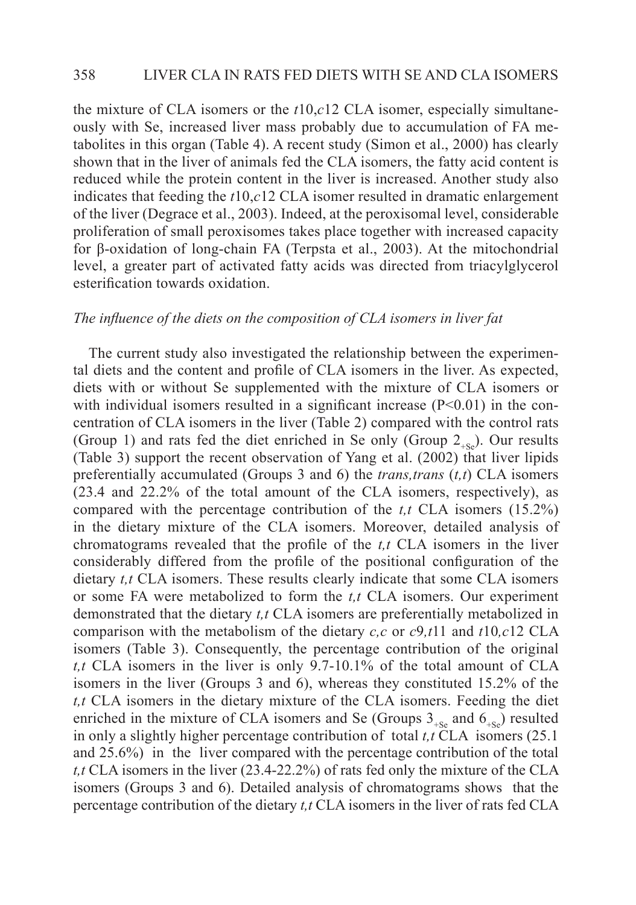the mixture of CLA isomers or the *t*10,*c*12 CLA isomer, especially simultaneously with Se, increased liver mass probably due to accumulation of FA metabolites in this organ (Table 4). A recent study (Simon et al., 2000) has clearly shown that in the liver of animals fed the CLA isomers, the fatty acid content is reduced while the protein content in the liver is increased. Another study also indicates that feeding the *t*10,*c*12 CLA isomer resulted in dramatic enlargement of the liver (Degrace et al., 2003). Indeed, at the peroxisomal level, considerable proliferation of small peroxisomes takes place together with increased capacity for β-oxidation of long-chain FA (Terpsta et al., 2003). At the mitochondrial level, a greater part of activated fatty acids was directed from triacylglycerol esterification towards oxidation.

# *The influence of the diets on the composition of CLA isomers in liver fat*

The current study also investigated the relationship between the experimental diets and the content and profile of CLA isomers in the liver. As expected, diets with or without Se supplemented with the mixture of CLA isomers or with individual isomers resulted in a significant increase  $(P<0.01)$  in the concentration of CLA isomers in the liver (Table 2) compared with the control rats (Group 1) and rats fed the diet enriched in Se only (Group  $2_{\text{LSS}}$ ). Our results (Table 3) support the recent observation of Yang et al. (2002) that liver lipids preferentially accumulated (Groups 3 and 6) the *trans,trans* (*t,t*) CLA isomers (23.4 and 22.2% of the total amount of the CLA isomers, respectively), as compared with the percentage contribution of the *t,t* CLA isomers (15.2%) in the dietary mixture of the CLA isomers. Moreover, detailed analysis of chromatograms revealed that the profile of the *t,t* CLA isomers in the liver considerably differed from the profile of the positional configuration of the dietary *t,t* CLA isomers. These results clearly indicate that some CLA isomers or some FA were metabolized to form the *t,t* CLA isomers. Our experiment demonstrated that the dietary *t,t* CLA isomers are preferentially metabolized in comparison with the metabolism of the dietary *c,c* or *c*9*,t*11 and *t*10*,c*12 CLA isomers (Table 3). Consequently, the percentage contribution of the original *t,t* CLA isomers in the liver is only 9.7-10.1% of the total amount of CLA isomers in the liver (Groups 3 and 6), whereas they constituted 15.2% of the *t,t* CLA isomers in the dietary mixture of the CLA isomers. Feeding the diet enriched in the mixture of CLA isomers and Se (Groups  $3_{+S_e}$  and  $6_{+S_e}$ ) resulted in only a slightly higher percentage contribution of total *t,t* CLA isomers (25.1 and 25.6%) in the liver compared with the percentage contribution of the total *t,t* CLA isomers in the liver (23.4-22.2%) of rats fed only the mixture of the CLA isomers (Groups 3 and 6). Detailed analysis of chromatograms shows that the percentage contribution of the dietary *t,t* CLA isomers in the liver of rats fed CLA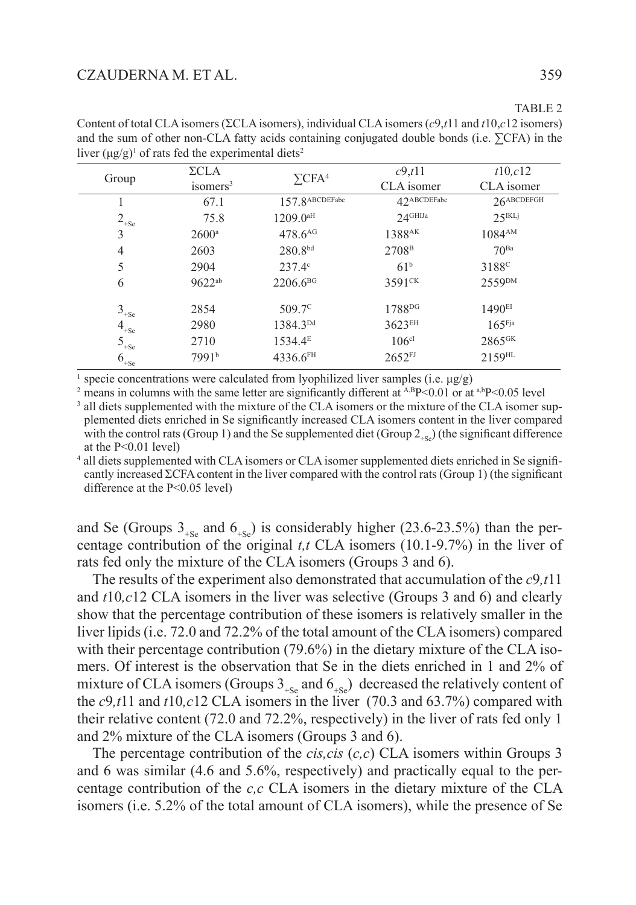| $\Sigma \text{CLA}$<br>isomers <sup>3</sup> | $\Sigma$ CFA <sup>4</sup> | c9, t11<br>CLA isomer | t10, c12<br>CLA isomer |
|---------------------------------------------|---------------------------|-----------------------|------------------------|
| 67.1                                        | 157.8 ABCDEFabc           | 42ABCDEFabc           | $26$ ABCDEFGH          |
| 75.8                                        | $1209.0^{\text{aH}}$      | $2.4$ GHIJa           | $25$ <sup>IKLj</sup>   |
| $2600^{\circ}$                              | 478.6 <sup>AG</sup>       | 1388 <sup>AK</sup>    | 1084 <sup>AM</sup>     |
| 2603                                        | $280.8^{bd}$              | 2708 <sup>B</sup>     | 70 <sup>Ba</sup>       |
| 2904                                        | $237.4^{\circ}$           | 61 <sup>b</sup>       | 3188 <sup>c</sup>      |
| $9622^{ab}$                                 | $2206.6^{BG}$             | 3591 <sup>CK</sup>    | 2559 <sup>DM</sup>     |
| 2854                                        | $509.7^{\circ}$           | 1788 <sup>DG</sup>    | 1490 <sup>EI</sup>     |
| 2980                                        | 1384.3 <sup>Dd</sup>      | 3623EH                | $165$ Fja              |
| 2710                                        | $1534.4^{\rm E}$          | 106 <sup>cl</sup>     | 2865 <sup>GK</sup>     |
| 7991b                                       | 4336.6FH                  | $2652$ <sup>FJ</sup>  | $2159$ <sup>HL</sup>   |
|                                             |                           |                       |                        |

Content of total CLA isomers (ΣCLA isomers), individual CLA isomers (*c*9,*t*11 and *t*10,*c*12 isomers) and the sum of other non-CLA fatty acids containing conjugated double bonds (i.e. ∑CFA) in the liver  $(\mu g/g)^1$  of rats fed the experimental diets<sup>2</sup>

specie concentrations were calculated from lyophilized liver samples (i.e.  $\mu$ g/g)

<sup>2</sup> means in columns with the same letter are significantly different at  $A, B$ P<0.01 or at  $a, b$ P<0.05 level

<sup>3</sup> all diets supplemented with the mixture of the CLA isomers or the mixture of the CLA isomer supplemented diets enriched in Se significantly increased CLA isomers content in the liver compared with the control rats (Group 1) and the Se supplemented diet (Group  $2_{\text{LQ}}$ ) (the significant difference at the P<0.01 level)

4 all diets supplemented with CLA isomers or CLA isomer supplemented diets enriched in Se significantly increased ΣCFA content in the liver compared with the control rats (Group 1) (the significant difference at the P<0.05 level)

and Se (Groups  $3_{\text{L}_\text{Se}}$  and  $6_{\text{L}_\text{Se}}$ ) is considerably higher (23.6-23.5%) than the percentage contribution of the original *t,t* CLA isomers (10.1-9.7%) in the liver of rats fed only the mixture of the CLA isomers (Groups 3 and 6).

The results of the experiment also demonstrated that accumulation of the *c*9*,t*11 and *t*10*,c*12 CLA isomers in the liver was selective (Groups 3 and 6) and clearly show that the percentage contribution of these isomers is relatively smaller in the liver lipids (i.e. 72.0 and 72.2% of the total amount of the CLA isomers) compared with their percentage contribution (79.6%) in the dietary mixture of the CLA isomers. Of interest is the observation that Se in the diets enriched in 1 and 2% of mixture of CLA isomers (Groups  $3_{+S_e}$  and  $6_{+S_e}$ ) decreased the relatively content of the *c*9*,t*11 and *t*10*,c*12 CLA isomers in the liver (70.3 and 63.7%) compared with their relative content (72.0 and 72.2%, respectively) in the liver of rats fed only 1 and 2% mixture of the CLA isomers (Groups 3 and 6).

The percentage contribution of the *cis,cis* (*c,c*) CLA isomers within Groups 3 and 6 was similar (4.6 and 5.6%, respectively) and practically equal to the percentage contribution of the *c,c* CLA isomers in the dietary mixture of the CLA isomers (i.e. 5.2% of the total amount of CLA isomers), while the presence of Se

TABLE 2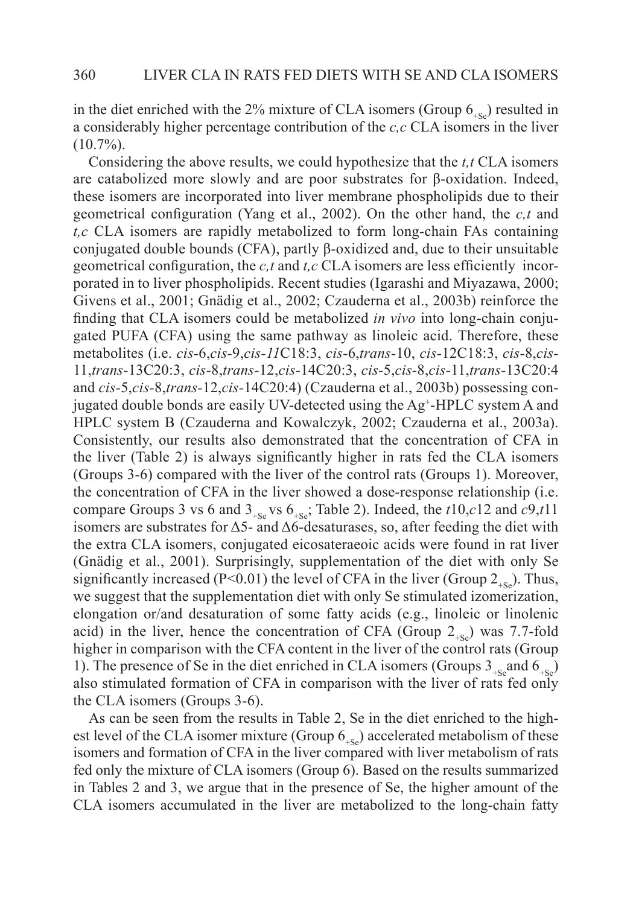in the diet enriched with the 2% mixture of CLA isomers (Group  $6_{\text{sc}}$ ) resulted in a considerably higher percentage contribution of the *c,c* CLA isomers in the liver  $(10.7\%)$ .

Considering the above results, we could hypothesize that the *t,t* CLA isomers are catabolized more slowly and are poor substrates for β-oxidation. Indeed, these isomers are incorporated into liver membrane phospholipids due to their geometrical configuration (Yang et al., 2002). On the other hand, the *c,t* and *t,c* CLA isomers are rapidly metabolized to form long-chain FAs containing conjugated double bounds (CFA), partly β-oxidized and, due to their unsuitable geometrical configuration, the *c,t* and *t,c* CLA isomers are less efficiently incorporated in to liver phospholipids. Recent studies (Igarashi and Miyazawa, 2000; Givens et al., 2001; Gnädig et al., 2002; Czauderna et al., 2003b) reinforce the finding that CLA isomers could be metabolized *in vivo* into long-chain conjugated PUFA (CFA) using the same pathway as linoleic acid. Therefore, these metabolites (i.e. *cis-*6,*cis-*9,*cis-11*C18:3, *cis-*6,*trans-*10, *cis-*12C18:3, *cis-*8,*cis-*11,*trans-*13C20:3, *cis-*8,*trans-*12,*cis-*14C20:3, *cis-*5,*cis-*8,*cis-*11,*trans-*13C20:4 and *cis-*5,*cis-*8,*trans-*12,*cis-*14C20:4) (Czauderna et al., 2003b) possessing conjugated double bonds are easily UV-detected using the Ag<sup>+</sup>-HPLC system A and HPLC system B (Czauderna and Kowalczyk, 2002; Czauderna et al., 2003a). Consistently, our results also demonstrated that the concentration of CFA in the liver (Table 2) is always significantly higher in rats fed the CLA isomers (Groups 3-6) compared with the liver of the control rats (Groups 1). Moreover, the concentration of CFA in the liver showed a dose-response relationship (i.e. compare Groups 3 vs 6 and  $3_{+Se}$  vs  $6_{+Se}$ ; Table 2). Indeed, the *t*10,*c*12 and *c*9,*t*11 isomers are substrates for  $\Delta$ 5- and  $\Delta$ 6-desaturases, so, after feeding the diet with the extra CLA isomers, conjugated eicosateraeoic acids were found in rat liver (Gnädig et al., 2001). Surprisingly, supplementation of the diet with only Se significantly increased (P<0.01) the level of CFA in the liver (Group  $2_{\text{LSS}}$ ). Thus, we suggest that the supplementation diet with only Se stimulated izomerization, elongation or/and desaturation of some fatty acids (e.g., linoleic or linolenic acid) in the liver, hence the concentration of CFA (Group  $2_{\text{L}}$ ) was 7.7-fold higher in comparison with the CFA content in the liver of the control rats (Group 1). The presence of Se in the diet enriched in CLA isomers (Groups  $3_{+Se}$  and  $6_{+Se}$ ) also stimulated formation of CFA in comparison with the liver of rats fed only the CLA isomers (Groups 3-6).

As can be seen from the results in Table 2, Se in the diet enriched to the highest level of the CLA isomer mixture (Group  $6_{\text{Ls}}$ ) accelerated metabolism of these isomers and formation of CFA in the liver compared with liver metabolism of rats fed only the mixture of CLA isomers (Group 6). Based on the results summarized in Tables 2 and 3, we argue that in the presence of Se, the higher amount of the CLA isomers accumulated in the liver are metabolized to the long-chain fatty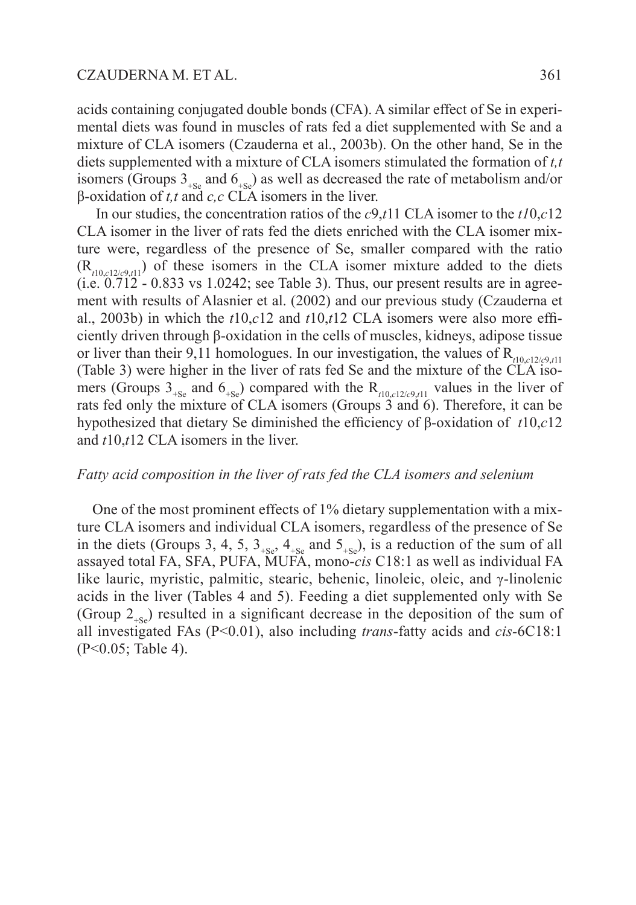acids containing conjugated double bonds (CFA). A similar effect of Se in experimental diets was found in muscles of rats fed a diet supplemented with Se and a mixture of CLA isomers (Czauderna et al., 2003b). On the other hand, Se in the diets supplemented with a mixture of CLA isomers stimulated the formation of *t,t* isomers (Groups  $3_{+S_e}$  and  $6_{+S_e}$ ) as well as decreased the rate of metabolism and/or β-oxidation of *t,t* and *c,c* CLA isomers in the liver.

 In our studies, the concentration ratios of the *c*9,*t*11 CLA isomer to the *t1*0,*c*12 CLA isomer in the liver of rats fed the diets enriched with the CLA isomer mixture were, regardless of the presence of Se, smaller compared with the ratio  $(R_{t10, c12/c9, t11})$  of these isomers in the CLA isomer mixture added to the diets  $(i.e. 0.712 - 0.833$  vs 1.0242; see Table 3). Thus, our present results are in agreement with results of Alasnier et al. (2002) and our previous study (Czauderna et al., 2003b) in which the *t*10,*c*12 and *t*10,*t*12 CLA isomers were also more efficiently driven through β-oxidation in the cells of muscles, kidneys, adipose tissue or liver than their 9,11 homologues. In our investigation, the values of  $R_{t10, c12/c9, t11}$ (Table 3) were higher in the liver of rats fed Se and the mixture of the CLA isomers (Groups  $3_{+Se}$  and  $6_{+Se}$ ) compared with the R<sub>t10,*c*12/*c9*,*t*11</sub> values in the liver of rats fed only the mixture of CLA isomers (Groups 3 and 6). Therefore, it can be hypothesized that dietary Se diminished the efficiency of β-oxidation of *t*10,*c*12 and *t*10,*t*12 CLA isomers in the liver.

#### *Fatty acid composition in the liver of rats fed the CLA isomers and selenium*

One of the most prominent effects of 1% dietary supplementation with a mixture CLA isomers and individual CLA isomers, regardless of the presence of Se in the diets (Groups 3, 4, 5,  $3_{+S_e}$ ,  $4_{+S_e}$  and  $5_{+S_e}$ ), is a reduction of the sum of all assayed total FA, SFA, PUFA, MUFA, mono-*cis* C18:1 as well as individual FA like lauric, myristic, palmitic, stearic, behenic, linoleic, oleic, and γ-linolenic acids in the liver (Tables 4 and 5). Feeding a diet supplemented only with Se (Group  $2_{\text{ss}}$ ) resulted in a significant decrease in the deposition of the sum of all investigated FAs (P<0.01), also including *trans*-fatty acids and *cis-*6C18:1 (P<0.05; Table 4).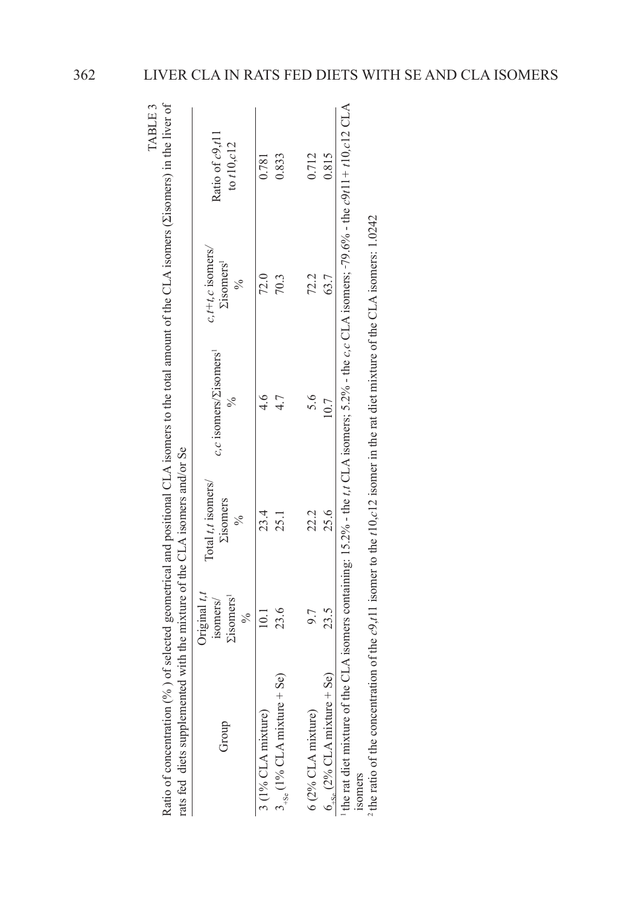| TABLE 3 |                                                                                                                              | Ratio of c9,t11<br>to $t10$ , $c12$            |
|---------|------------------------------------------------------------------------------------------------------------------------------|------------------------------------------------|
|         |                                                                                                                              | $t + t$ , $c$ isomers.<br>isomers <sup>1</sup> |
|         | $n$ (%) of selected geometrical and positional CLA isomers to the total amount of the CLA isomers (Eisomers) in the liver of | %c isomers/ <i>Σisomers</i>                    |
|         |                                                                                                                              | Total t,t isomers/<br>disomers                 |
|         | mented with the mixture of the CLA isomers and/or Se                                                                         | Triginal $t, t$<br><i>l</i> isomers<br>somers  |
|         | rats fed diets suppler<br>atio of concentratio                                                                               |                                                |

 $3 \times 10^{10}$  CA mixture) 10.1 23.4 4.6 4.6 72.91  $3_{\frac{1}{36}}$  (1% CLA mixture + Se) 25.1  $4.7$   $4.7$   $70.3$ 

23.4 25.1

23.6

 $3_{+8e}$  (1% CLA mixture + Se)

3 (1% CLA mixture)

 $6(2\%$  CLA mixture)

 $10.1\,$ 

 $4.6$ 

4.7

0.833

0.781

 $72.0$ 70.3 0.712 0.815

 $72.2$ 63.7

the rat diet mixture of the CLA isomers containing: 15.2% - the t.t CLA isomers; 5.2% - the c.c CLA isomers; -79.6% - the c9t11 + 10.c12 CLA 1 the rat diet mixture of the CLA isomers containing: 15.2% - the *t,t* CLA isomers; 5.2% - the *c,c* CLA isomers; 79.6% - the *c*9*t*11*+ t*10*,c*12 CLA  $6_{\rm{ss}}$  (2% CLA mixture + Se) 23.5 25.6 10.7 63.7 63.7 25.6  $6_{+8e} (2% CLA mixture + Se)$ isomers

6 (2% CLA mixture) 9.7 22.2 5.6 5.6 22.2

22.2

23.5 9.7

5.6

10.7

The ratio of the concentration of the  $c9x/11$  isomer to the t10 c12 isomer in the rat diet mixture of the CLA isomers: 1.0242 2 the ratio of the concentration of the *c*9,*t*11 isomer to the *t*10,*c*12 isomer in the rat diet mixture of the CLA isomers: 1.0242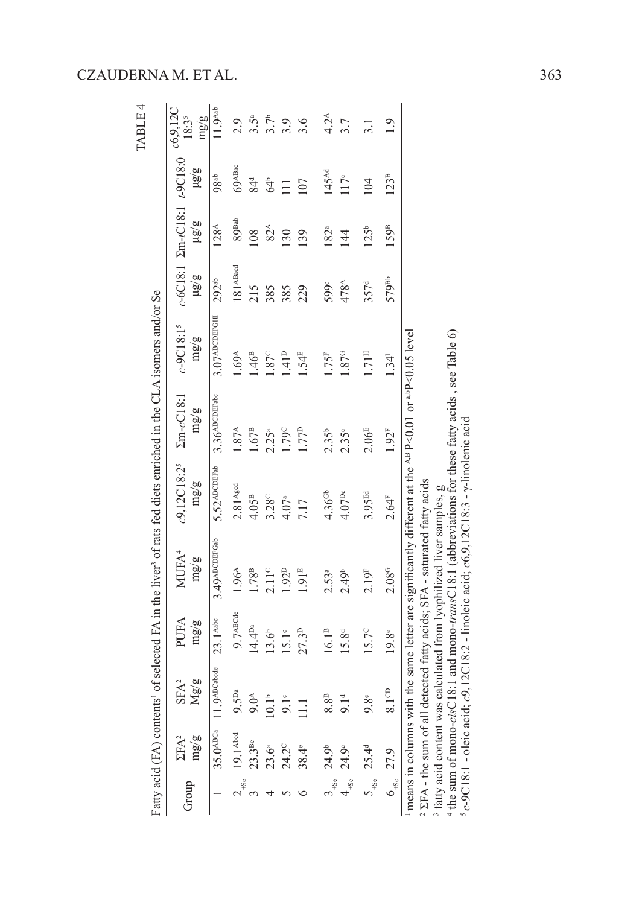|           |                                                              |                       |                      | Fatty acid (FA) contents' of selected FA in the liver <sup>3</sup> of rats fed diets enriched in the CLA isomers and/or Se                                                                                                                                                                                                                                                                                                                                  |                                 |                              |                              |                        |                                               |                    | TABLE 4                         |
|-----------|--------------------------------------------------------------|-----------------------|----------------------|-------------------------------------------------------------------------------------------------------------------------------------------------------------------------------------------------------------------------------------------------------------------------------------------------------------------------------------------------------------------------------------------------------------------------------------------------------------|---------------------------------|------------------------------|------------------------------|------------------------|-----------------------------------------------|--------------------|---------------------------------|
| Group     | $\Sigma FA^2$<br>mg/gm                                       | Mg/g<br>$SFA^2$       | PUFA<br>mg/g         | MUFA <sup>4</sup><br>mg/gm                                                                                                                                                                                                                                                                                                                                                                                                                                  | c9,12C18:2 <sup>5</sup><br>mg/g | $\Sigma$ m- $cC18:1$<br>mg/g | $c-9C18:15$<br>mg/g          | mg/gl                  | c-6C18:1 Zm-tC18:1 t-9C18:0<br>$\overline{a}$ | $\overline{a}a$    | c6,9,12C<br>mg/gm<br>$18:3^{5}$ |
|           | $35.0^{ABCa}$ 11                                             | $9^{\text{ABCabcde}}$ | 23.1 <sup>Aabc</sup> | 3.49 АВС DEFGab                                                                                                                                                                                                                                                                                                                                                                                                                                             | $5.52$ <sup>ABCDEFab</sup>      | $3.36$ <sup>ABCDEFabc</sup>  | $3.07$ <sup>АВСDЕГ</sup> СНІ | $292^{ab}$             | 128 <sup>A</sup>                              | 98 <sup>ab</sup>   | 11.9 <sup>Atab</sup>            |
| $2_{+56}$ | 19.1 <sup>Abod</sup>                                         | $5^{Da}$              | $9.7$ <sup>лвС</sup> | 1.96 <sup>A</sup>                                                                                                                                                                                                                                                                                                                                                                                                                                           | $2.81$ <sup>Agod</sup>          | $1.87^{\rm A}$               | $.69^{\circ}$                | $181$ <sup>ABacd</sup> | 89 <sup>Bab</sup>                             | $69^{\text{ABac}}$ | 2.9                             |
|           | $23.3^{\text{Be}}$                                           | 6.6                   | 14.4 <sup>Da</sup>   | 1.78 <sup>B</sup>                                                                                                                                                                                                                                                                                                                                                                                                                                           | 4.05 <sup>B</sup>               | 1.67 <sup>B</sup>            | 46 <sup>B</sup>              | 215                    | 108                                           | 84 <sup>d</sup>    | $3.5^{\circ}$                   |
|           | $23.6^{a}$                                                   | 0.1 <sup>b</sup>      | 13.6 <sup>b</sup>    | $2.11^{\circ}$                                                                                                                                                                                                                                                                                                                                                                                                                                              | 3.28 <sup>C</sup>               | 2.25 <sup>a</sup>            | .87c                         | 385                    | $82^{\text{A}}$                               | $64^{\circ}$       | 3.7 <sup>b</sup>                |
|           | 24.2°                                                        | $9.1^{\circ}$         | $15.1^{\circ}$       | $1.92^{D}$                                                                                                                                                                                                                                                                                                                                                                                                                                                  | 4.07 <sup>a</sup>               | 1.79°                        | 1.41 <sup>D</sup>            | 385                    | 130                                           | Ξ                  | 3.9                             |
|           | $38.4^{\circ}$                                               |                       | 27.3 <sup>D</sup>    | 1.91 <sup>E</sup>                                                                                                                                                                                                                                                                                                                                                                                                                                           | 7.17                            | 1.77 <sup>p</sup>            | .54E                         | 229                    | 139                                           | 107                | 3.6                             |
|           | $3_{+8e}$ 24.9 <sup>b</sup>                                  | $8^{\circ}$           | 16.1 <sup>B</sup>    | $2.53^{a}$                                                                                                                                                                                                                                                                                                                                                                                                                                                  | 4.36 <sup>GB</sup>              | $2.35^{b}$                   | 1.75 <sup>F</sup>            | 599c                   | 182 <sup>a</sup>                              | $145^{nd}$         | $4.2^{\circ}$                   |
|           | $24.9^\circ$                                                 | 9.1 <sup>d</sup>      | 15.8 <sup>d</sup>    | 2.49 <sup>b</sup>                                                                                                                                                                                                                                                                                                                                                                                                                                           | $4.07^{pc}$                     | $2.35^{\circ}$               | 1.87 <sup>G</sup>            | $478^{\text{A}}$       | 144                                           | $117^c$            | 3.7                             |
|           | $5_{+8e}$ 25.4 <sup>d</sup>                                  | 8e                    | $15.7^{\circ}$       | 2.19 <sup>F</sup>                                                                                                                                                                                                                                                                                                                                                                                                                                           | 3.95 <sup>Ed</sup>              | 2.06 <sup>E</sup>            | 1.71 <sup>н</sup>            | 357 <sup>d</sup>       | 125 <sup>b</sup>                              | 104                |                                 |
|           | $6_{-8e}$ 27.9                                               | $8.1^\text{CD}$       | 19.8 <sup>e</sup>    | 2.08 <sup>G</sup>                                                                                                                                                                                                                                                                                                                                                                                                                                           | 2.64 <sup>F</sup>               | 1.92 <sup>F</sup>            | 1.34 <sup>1</sup>            | 579 <sup>вь</sup>      | 159 <sup>B</sup>                              | 123 <sup>B</sup>   | $\overline{0}$                  |
|           | <sup>4</sup> the sum of mono-cis<br>$5c-9C18:1$ – oleic acid |                       |                      | C18:1 and mono-transC18:1 (abbreviations for these fatty acids, see Table $6$ )<br>means in columns with the same letter are significantly different at the $^{A,B}P<0.01$ or $^{a,D}P<0.05$ level<br>t; $c9,12C18.2$ - linoleic acid; $c6,9,12C18.3$ - $\gamma$ -linolenic acid<br>$2$ $\SigmaFA$ - the sum of all detected fatty acids; $SFA$ - saturated fatty acids<br><sup>3</sup> fatty acid content was calculated from lyophilized liver samples, g |                                 |                              |                              |                        |                                               |                    |                                 |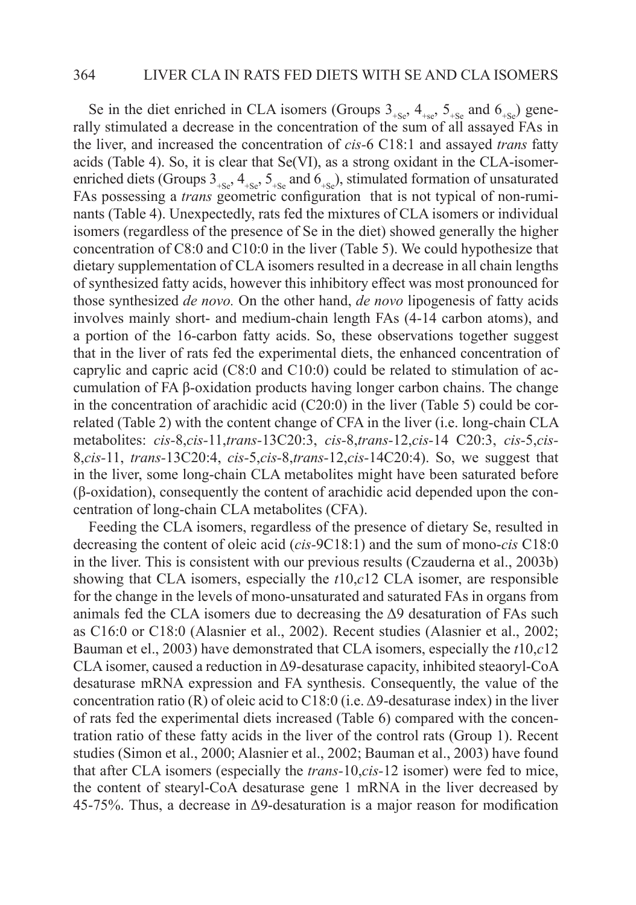#### 364 LIVER CLA IN RATS FED DIETS WITH SE AND CLA ISOMERS

Se in the diet enriched in CLA isomers (Groups  $3_{+Se}$ ,  $4_{+se}$ ,  $5_{+Se}$  and  $6_{+Se}$ ) generally stimulated a decrease in the concentration of the sum of all assayed FAs in the liver, and increased the concentration of *cis-*6 C18:1 and assayed *trans* fatty acids (Table 4). So, it is clear that Se(VI), as a strong oxidant in the CLA-isomerenriched diets (Groups  $3_{+S_e}, 4_{+S_e}, 5_{+S_e}$  and  $6_{+S_e}$ ), stimulated formation of unsaturated FAs possessing a *trans* geometric configuration that is not typical of non-ruminants (Table 4). Unexpectedly, rats fed the mixtures of CLA isomers or individual isomers (regardless of the presence of Se in the diet) showed generally the higher concentration of C8:0 and C10:0 in the liver (Table 5). We could hypothesize that dietary supplementation of CLA isomers resulted in a decrease in all chain lengths of synthesized fatty acids, however this inhibitory effect was most pronounced for those synthesized *de novo.* On the other hand, *de novo* lipogenesis of fatty acids involves mainly short- and medium-chain length FAs (4-14 carbon atoms), and a portion of the 16-carbon fatty acids. So, these observations together suggest that in the liver of rats fed the experimental diets, the enhanced concentration of caprylic and capric acid (C8:0 and C10:0) could be related to stimulation of accumulation of FA β-oxidation products having longer carbon chains. The change in the concentration of arachidic acid  $(C20:0)$  in the liver (Table 5) could be correlated (Table 2) with the content change of CFA in the liver (i.e. long-chain CLA metabolites: *cis-*8,*cis-*11,*trans-*13C20:3, *cis-*8,*trans-*12,*cis-*14 C20:3, *cis-*5,*cis-*8,*cis-*11, *trans-*13C20:4, *cis-*5,*cis-*8,*trans-*12,*cis-*14C20:4). So, we suggest that in the liver, some long-chain CLA metabolites might have been saturated before (β-oxidation), consequently the content of arachidic acid depended upon the concentration of long-chain CLA metabolites (CFA).

Feeding the CLA isomers, regardless of the presence of dietary Se, resulted in decreasing the content of oleic acid (*cis-*9C18:1) and the sum of mono-*cis* C18:0 in the liver. This is consistent with our previous results (Czauderna et al., 2003b) showing that CLA isomers, especially the *t*10,*c*12 CLA isomer, are responsible for the change in the levels of mono-unsaturated and saturated FAs in organs from animals fed the CLA isomers due to decreasing the  $\Delta$ 9 desaturation of FAs such as C16:0 or C18:0 (Alasnier et al., 2002). Recent studies (Alasnier et al., 2002; Bauman et el., 2003) have demonstrated that CLA isomers, especially the *t*10,*c*12 CLA isomer, caused a reduction in Δ9-desaturase capacity, inhibited steaoryl-CoA desaturase mRNA expression and FA synthesis. Consequently, the value of the concentration ratio (R) of oleic acid to C18:0 (i.e.  $\Delta$ 9-desaturase index) in the liver of rats fed the experimental diets increased (Table 6) compared with the concentration ratio of these fatty acids in the liver of the control rats (Group 1). Recent studies (Simon et al., 2000; Alasnier et al., 2002; Bauman et al., 2003) have found that after CLA isomers (especially the *trans-*10,*cis-*12 isomer) were fed to mice, the content of stearyl-CoA desaturase gene 1 mRNA in the liver decreased by 45-75%. Thus, a decrease in Δ9-desaturation is a major reason for modification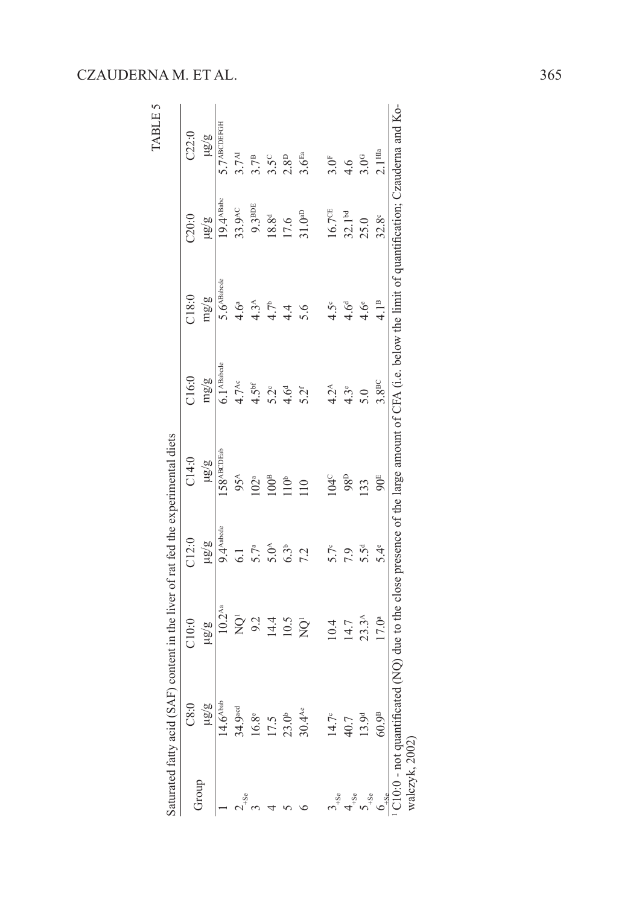| Saturated fatty acid ( |                        | SAF) content in the liver of rat fed the experimental diets                                                                                    |                       |                  |                   |                  |                       | TABLE 5                   |
|------------------------|------------------------|------------------------------------------------------------------------------------------------------------------------------------------------|-----------------------|------------------|-------------------|------------------|-----------------------|---------------------------|
|                        | C8:0                   | C10:0                                                                                                                                          | C12:0                 | C14:0            | C16.0             | C18:0            | 220:0                 | C22:0                     |
|                        | $\frac{19}{8}$         | 5/8rt                                                                                                                                          | a/an                  | a/an             | mg/g              | mg/gm            | ing/a                 | 18/8                      |
|                        | $14.6^{\mathrm{Abab}}$ | $10.2^{Aa}$                                                                                                                                    | $9.4^{\text{Aabcde}}$ | 158ABCDEab       | $6.1$ ABabode     | $5.6ABa$ bede    | 19.4 <sup>ABabc</sup> | $5.7$ <sup>ABCDEFGH</sup> |
|                        | 34.9 <sup>acd</sup>    | ğ                                                                                                                                              | 6.1                   | $95^{\text{A}}$  | $4.7^{\text{Ac}}$ | 4.6 <sup>a</sup> | 33.9 <sup>AC</sup>    | 3.7 <sup>M</sup>          |
|                        | $16.8^{\circ}$         | $9.2$<br>14.4                                                                                                                                  | 5.7 <sup>a</sup>      | $102^a$          | 4.5 <sup>bf</sup> | $4.3^{\circ}$    | $9.3^{\text{BDE}}$    | 3.7 <sup>B</sup>          |
|                        | 17.5                   |                                                                                                                                                | 5.0 <sup>A</sup>      | $100^{\text{B}}$ | $5.2^{\circ}$     | $\frac{1}{4}$    | $18.8^{d}$            | $3.5^\circ$               |
|                        | 23.0 <sup>b</sup>      | 10.5                                                                                                                                           | 6.3 <sup>b</sup>      | 10 <sup>b</sup>  | 4.6 <sup>d</sup>  | $\frac{4}{4}$    | 17.6                  | $2.8^{\text{D}}$          |
|                        | $30.4$ <sup>Ae</sup>   | $\rm \bar{Q}$                                                                                                                                  | 7.2                   | 110              | 5.2 <sup>f</sup>  |                  | 31.0 <sup>AD</sup>    | 3.6 <sup>Ea</sup>         |
|                        | $14.7^\circ$           | 10.4                                                                                                                                           | 5.7c                  | $104^\circ$      | $4.2^{\text{A}}$  | $4.5^{\circ}$    | $16.7^{\times}$       | 3.0 <sup>F</sup>          |
|                        | 40.7                   | 14.7                                                                                                                                           | 7.9                   | 98 <sup>D</sup>  | $4.3^{\circ}$     | 4.6 <sup>d</sup> | 32.1 <sup>bd</sup>    | 4.6                       |
|                        | 13.9 <sup>d</sup>      | $23.3^{\text{A}}$                                                                                                                              | 5.5 <sup>d</sup>      | 133              | 5.0               | $4.6^e$          | 25.0                  | 3.0 <sup>G</sup>          |
|                        | 60.9 <sup>B</sup>      | 17.0 <sup>a</sup>                                                                                                                              | $5.4^e$               | $90^{\text{E}}$  | 3.8 <sup>BC</sup> | 4.1 <sup>B</sup> | $32.8^\circ$          | 2.1 <sup>HIa</sup>        |
| walczyk, 2002)         |                        | 7.0.0 - not quantificated (NQ) due to the close presence of the large amount of CFA (i.e. below the limit of quantification; Czauderna and Ko- |                       |                  |                   |                  |                       |                           |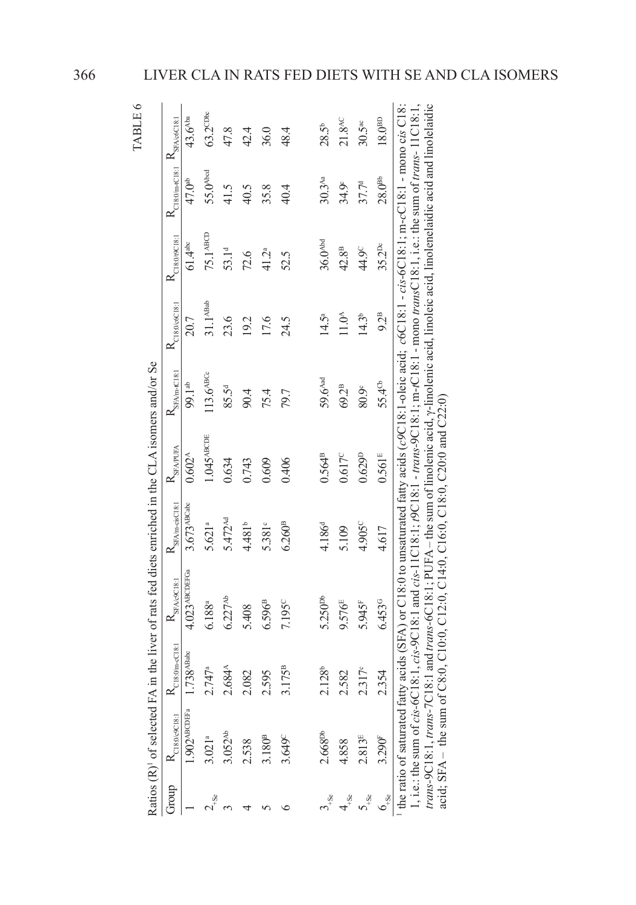|                   |                            |                                      |                                                                                                                                                                                                                                                                                                                                                                                                                                                                                                                                                     |                                                      |                          |                              |                                             |                       |                                            | TABLE 6              |
|-------------------|----------------------------|--------------------------------------|-----------------------------------------------------------------------------------------------------------------------------------------------------------------------------------------------------------------------------------------------------------------------------------------------------------------------------------------------------------------------------------------------------------------------------------------------------------------------------------------------------------------------------------------------------|------------------------------------------------------|--------------------------|------------------------------|---------------------------------------------|-----------------------|--------------------------------------------|----------------------|
|                   |                            |                                      | Ratios $(R)$ <sup>1</sup> of selected FA in the liver of rats fed diets enriched in the CLA isomers and/or Se                                                                                                                                                                                                                                                                                                                                                                                                                                       |                                                      |                          |                              |                                             |                       |                                            |                      |
| Group             | $R_{C18:069C18:1}$         | $R_{\mathrm{C18:0\text{[m-C18:1]}}}$ | $R_{\rm SK\Delta \rm OCR1}$                                                                                                                                                                                                                                                                                                                                                                                                                                                                                                                         | $R_{\scriptstyle\rm SFA/m\text{-}\mathrm{cisCl8:1}}$ | $R_{\rm SFAPUFA}$        | $R_{\rm SFA/m\text{-}C18:1}$ | $R_{\text{C18:0}\underline{\text{6C18:1}}}$ | $K_{C18;0/9C18;1}$    | $R_{C18:0/m+C18:1}$ $K_{SFA\omega GC18:1}$ |                      |
|                   | $1.902$ <sup>ABCDEFa</sup> | $1.738$ <sup>ABabc</sup>             | $4.023$ <sup>ABCDEFGa</sup>                                                                                                                                                                                                                                                                                                                                                                                                                                                                                                                         | $3.673$ <sup>ABCabc</sup>                            | $0.602^{A}$              | 99.1 <sup>ab</sup>           | 20.7                                        | $61.4$ <sup>abc</sup> | 47.0 <sup>ab</sup>                         | 43.6 <sup>Aba</sup>  |
|                   | 3.021 <sup>a</sup>         | 2.747a                               | 6.188ª                                                                                                                                                                                                                                                                                                                                                                                                                                                                                                                                              | 5.621ª                                               | $1.045$ <sup>ABCDE</sup> | $113.6$ ABCc                 | 31.1 <sup>ABab</sup>                        | 75.1 маст             | 55.0 <sup>Abcd</sup>                       | $63.2^{\text{CDec}}$ |
|                   | $3.052^{Ab}$               | 2.684A                               | 6.227 <sup>Ab</sup>                                                                                                                                                                                                                                                                                                                                                                                                                                                                                                                                 | 5.472 <sup>Md</sup>                                  | 0.634                    | 85.5 <sup>d</sup>            | 23.6                                        | 53.1 <sup>d</sup>     | 41.5                                       | 47.8                 |
|                   | 2.538                      | 2.082                                | 5.408                                                                                                                                                                                                                                                                                                                                                                                                                                                                                                                                               | 4.481 <sup>b</sup>                                   | 0.743                    | 90.4                         | 19.2                                        | 72.6                  | 40.5                                       | 42.4                 |
|                   | $3.180^{\rm B}$            | 2.595                                | $6.596^{B}$                                                                                                                                                                                                                                                                                                                                                                                                                                                                                                                                         | 5.381°                                               | 0.609                    | 75.4                         | 17.6                                        | 41.2 <sup>a</sup>     | 35.8                                       | 36.0                 |
|                   | 3.649 <sup>C</sup>         | 3.175 <sup>B</sup>                   | 7.195°                                                                                                                                                                                                                                                                                                                                                                                                                                                                                                                                              | 6.260 <sup>B</sup>                                   | 0.406                    | 79.7                         | 24.5                                        | 52.5                  | 40.4                                       | 48.4                 |
|                   |                            |                                      |                                                                                                                                                                                                                                                                                                                                                                                                                                                                                                                                                     |                                                      |                          |                              |                                             |                       |                                            |                      |
|                   | 2.668 <sup>pb</sup>        | $2.128^{b}$                          | 5.250 <sup>pb</sup>                                                                                                                                                                                                                                                                                                                                                                                                                                                                                                                                 | 4.186 <sup>d</sup>                                   | $0.564^{B}$              | 59.6 <sup>Aad</sup>          | $14.5^{\circ}$                              | 36.0 <sup>Abd</sup>   | $30.3^{Aa}$                                | 28.5 <sup>b</sup>    |
|                   | 4.858                      | 2.582                                | 9.576 <sup>E</sup>                                                                                                                                                                                                                                                                                                                                                                                                                                                                                                                                  | 5.109                                                | 0.617c                   | 69.2 <sup>B</sup>            | $11.0^{\circ}$                              | 42.8 <sup>B</sup>     | 34.9 <sup>c</sup>                          | 21.8 <sup>AC</sup>   |
|                   | 2.813E                     | 2.317°                               | 5.945 <sup>F</sup>                                                                                                                                                                                                                                                                                                                                                                                                                                                                                                                                  | 4.905 <sup>C</sup>                                   | 0.629 <sup>D</sup>       | 80.9                         | $14.3^{b}$                                  | 44.9 <sup>c</sup>     | 37.7 <sup>d</sup>                          | $30.5^{\circ}$       |
| $1 + \frac{1}{2}$ | 3.290F                     | 2.354                                | 6.4539                                                                                                                                                                                                                                                                                                                                                                                                                                                                                                                                              | 4.617                                                | $0.561$ <sup>E</sup>     | 55.4 <sup>cb</sup>           | $92^B$                                      | $35.2^{Dc}$           | $28.0^{Bb}$                                | 18.0 <sup>BD</sup>   |
|                   |                            |                                      | trans-9C18:1, trans-7C18:1 and trans-6C18:1; PUFA – the sum of linolenic acid, y-linolenic acid, linoleic acid, linolenelaidic acid and linolelaidic<br>the ratio of saturated fatty acids (SFA) or C18:0 to unsaturated fatty acids (c9C18:1-oleic acid; c6C18:1, -cis-6C18:1; m-cC18:1, -mono cis C18:<br>, i.e.: the sum of cis-6C18:1, cis-9C18:1 and cis-11C18:1; $\beta$ C18:1 - $trans-9$ C18:1; $max-9$ C18:1; $max-18:1$ , $max-18:1$ , $max-11$ C18:1<br>acid; SFA – the sum of C8:0, C10:0, C12:0, C14:0, C16:0, C18:0, C20:0 and C22:0) |                                                      |                          |                              |                                             |                       |                                            |                      |
|                   |                            |                                      |                                                                                                                                                                                                                                                                                                                                                                                                                                                                                                                                                     |                                                      |                          |                              |                                             |                       |                                            |                      |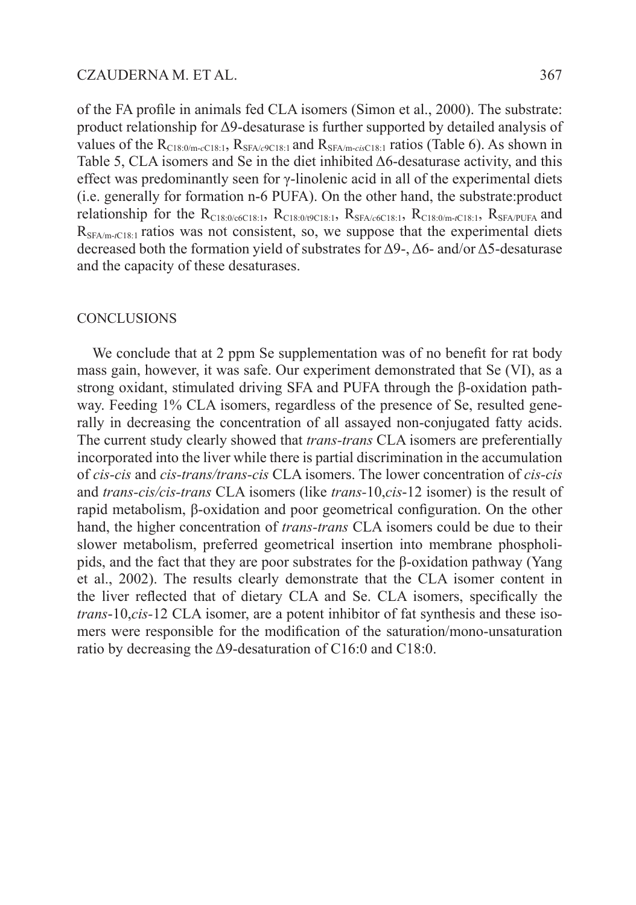of the FA profile in animals fed CLA isomers (Simon et al., 2000). The substrate: product relationship for Δ9-desaturase is further supported by detailed analysis of values of the  $R_{C18:0/m-C18:1}$ ,  $R_{SFA/e9C18:1}$  and  $R_{SFA/m-cisC18:1}$  ratios (Table 6). As shown in Table 5, CLA isomers and Se in the diet inhibited Δ6-desaturase activity, and this effect was predominantly seen for γ-linolenic acid in all of the experimental diets (i.e. generally for formation n-6 PUFA). On the other hand, the substrate:product relationship for the  $R_{C18:0/6C18:1}$ ,  $R_{C18:0/9C18:1}$ ,  $R_{SFA/6C18:1}$ ,  $R_{C18:0/m-rC18:1}$ ,  $R_{SFA/PUFA}$  and R<sub>SFA/m-tC18:1</sub> ratios was not consistent, so, we suppose that the experimental diets decreased both the formation yield of substrates for Δ9-, Δ6- and/or Δ5-desaturase and the capacity of these desaturases.

# **CONCLUSIONS**

We conclude that at 2 ppm Se supplementation was of no benefit for rat body mass gain, however, it was safe. Our experiment demonstrated that Se (VI), as a strong oxidant, stimulated driving SFA and PUFA through the β-oxidation pathway. Feeding 1% CLA isomers, regardless of the presence of Se, resulted generally in decreasing the concentration of all assayed non-conjugated fatty acids. The current study clearly showed that *trans-trans* CLA isomers are preferentially incorporated into the liver while there is partial discrimination in the accumulation of *cis-cis* and *cis-trans/trans-cis* CLA isomers. The lower concentration of *cis-cis*  and *trans-cis/cis-trans* CLA isomers (like *trans-*10,*cis*-12 isomer) is the result of rapid metabolism, β-oxidation and poor geometrical configuration. On the other hand, the higher concentration of *trans-trans* CLA isomers could be due to their slower metabolism, preferred geometrical insertion into membrane phospholipids, and the fact that they are poor substrates for the β-oxidation pathway (Yang et al., 2002). The results clearly demonstrate that the CLA isomer content in the liver reflected that of dietary CLA and Se. CLA isomers, specifically the *trans*-10,*cis-*12 CLA isomer, are a potent inhibitor of fat synthesis and these isomers were responsible for the modification of the saturation/mono-unsaturation ratio by decreasing the Δ9-desaturation of C16:0 and C18:0.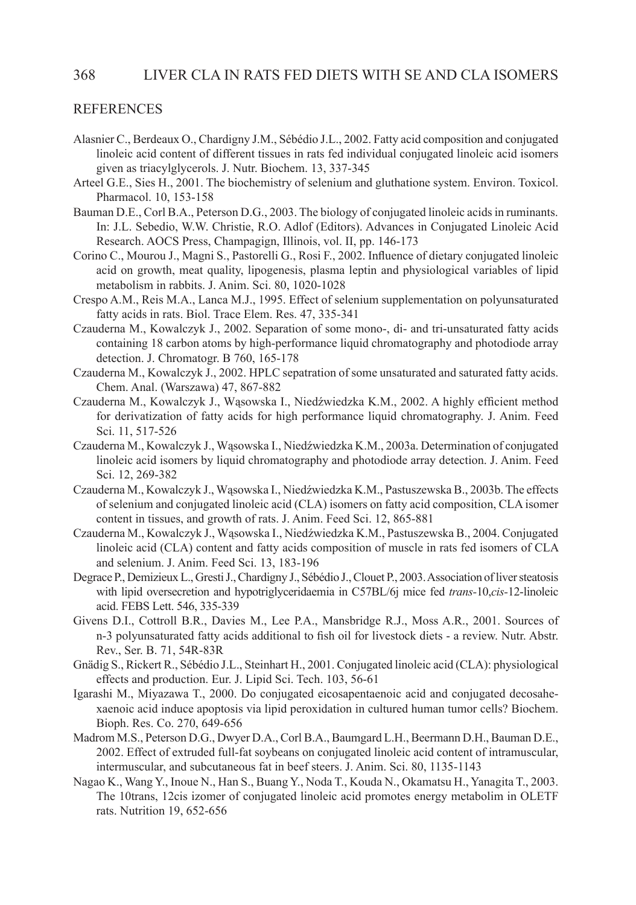#### 368 LIVER CLA IN RATS FED DIETS WITH SE AND CLA ISOMERS

#### **REFERENCES**

- Alasnier C., Berdeaux O., Chardigny J.M., Sébédio J.L., 2002. Fatty acid composition and conjugated linoleic acid content of different tissues in rats fed individual conjugated linoleic acid isomers given as triacylglycerols. J. Nutr. Biochem. 13, 337-345
- Arteel G.E., Sies H., 2001. The biochemistry of selenium and gluthatione system. Environ. Toxicol. Pharmacol. 10, 153-158
- Bauman D.E., Corl B.A., Peterson D.G., 2003. The biology of conjugated linoleic acids in ruminants. In: J.L. Sebedio, W.W. Christie, R.O. Adlof (Editors). Advances in Conjugated Linoleic Acid Research. AOCS Press, Champagign, Illinois, vol. II, pp. 146-173
- Corino C., Mourou J., Magni S., Pastorelli G., Rosi F., 2002. Influence of dietary conjugated linoleic acid on growth, meat quality, lipogenesis, plasma leptin and physiological variables of lipid metabolism in rabbits. J. Anim. Sci. 80, 1020-1028
- Crespo A.M., Reis M.A., Lanca M.J., 1995. Effect of selenium supplementation on polyunsaturated fatty acids in rats. Biol. Trace Elem. Res. 47, 335-341
- Czauderna M., Kowalczyk J., 2002. Separation of some mono-, di- and tri-unsaturated fatty acids containing 18 carbon atoms by high-performance liquid chromatography and photodiode array detection. J. Chromatogr. B 760, 165-178
- Czauderna M., Kowalczyk J., 2002. HPLC sepatration of some unsaturated and saturated fatty acids. Chem. Anal. (Warszawa) 47, 867-882
- Czauderna M., Kowalczyk J., Wąsowska I., Niedźwiedzka K.M., 2002. A highly efficient method for derivatization of fatty acids for high performance liquid chromatography. J. Anim. Feed Sci. 11, 517-526
- Czauderna M., Kowalczyk J., Wąsowska I., Niedźwiedzka K.M., 2003a. Determination of conjugated linoleic acid isomers by liquid chromatography and photodiode array detection. J. Anim. Feed Sci. 12, 269-382
- Czauderna M., Kowalczyk J., Wąsowska I., Niedźwiedzka K.M., Pastuszewska B., 2003b. The effects of selenium and conjugated linoleic acid (CLA) isomers on fatty acid composition, CLA isomer content in tissues, and growth of rats. J. Anim. Feed Sci. 12, 865-881
- Czauderna M., Kowalczyk J., Wąsowska I., Niedźwiedzka K.M., Pastuszewska B., 2004. Conjugated linoleic acid (CLA) content and fatty acids composition of muscle in rats fed isomers of CLA and selenium. J. Anim. Feed Sci. 13, 183-196
- Degrace P., Demizieux L., Gresti J., Chardigny J., Sébédio J., Clouet P., 2003. Association of liver steatosis with lipid oversecretion and hypotriglyceridaemia in C57BL/6j mice fed *trans-*10,*cis-*12-linoleic acid. FEBS Lett. 546, 335-339
- Givens D.I., Cottroll B.R., Davies M., Lee P.A., Mansbridge R.J., Moss A.R., 2001. Sources of n-3 polyunsaturated fatty acids additional to fish oil for livestock diets - a review. Nutr. Abstr. Rev., Ser. B. 71, 54R-83R
- Gnädig S., Rickert R., Sébédio J.L., Steinhart H., 2001. Conjugated linoleic acid (CLA): physiological effects and production. Eur. J. Lipid Sci. Tech. 103, 56-61
- Igarashi M., Miyazawa T., 2000. Do conjugated eicosapentaenoic acid and conjugated decosahexaenoic acid induce apoptosis via lipid peroxidation in cultured human tumor cells? Biochem. Bioph. Res. Co. 270, 649-656
- Madrom M.S., Peterson D.G., Dwyer D.A., Corl B.A., Baumgard L.H., Beermann D.H., Bauman D.E., 2002. Effect of extruded full-fat soybeans on conjugated linoleic acid content of intramuscular, intermuscular, and subcutaneous fat in beef steers. J. Anim. Sci. 80, 1135-1143
- Nagao K., Wang Y., Inoue N., Han S., Buang Y., Noda T., Kouda N., Okamatsu H., Yanagita T., 2003. The 10trans, 12cis izomer of conjugated linoleic acid promotes energy metabolim in OLETF rats. Nutrition 19, 652-656